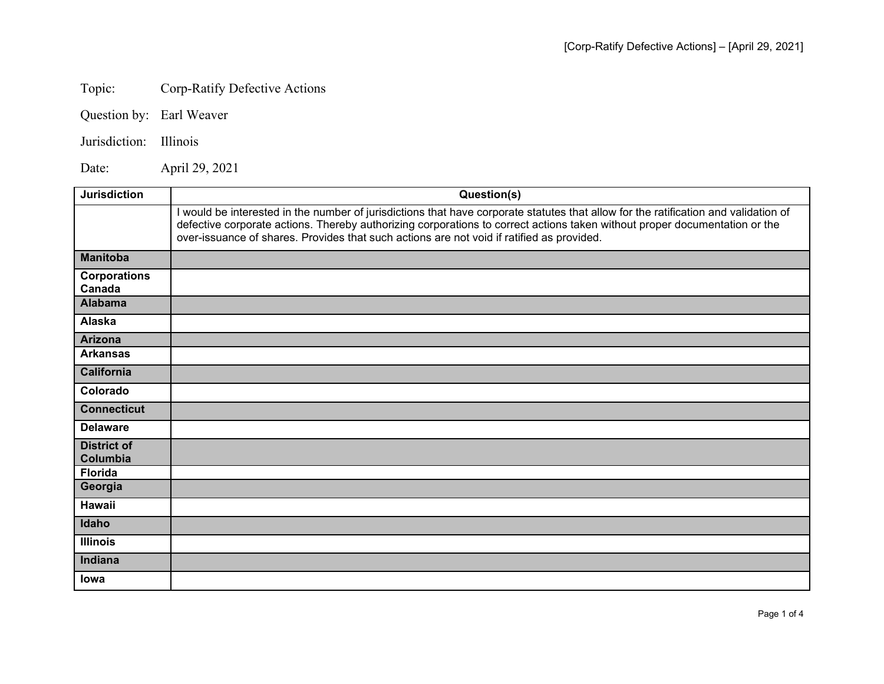## Topic: Corp-Ratify Defective Actions

Question by: Earl Weaver

## Jurisdiction: Illinois

Date: April 29, 2021

| <b>Jurisdiction</b>            | Question(s)                                                                                                                                                                                                                                                                                                                                                    |
|--------------------------------|----------------------------------------------------------------------------------------------------------------------------------------------------------------------------------------------------------------------------------------------------------------------------------------------------------------------------------------------------------------|
|                                | I would be interested in the number of jurisdictions that have corporate statutes that allow for the ratification and validation of<br>defective corporate actions. Thereby authorizing corporations to correct actions taken without proper documentation or the<br>over-issuance of shares. Provides that such actions are not void if ratified as provided. |
| <b>Manitoba</b>                |                                                                                                                                                                                                                                                                                                                                                                |
| <b>Corporations</b><br>Canada  |                                                                                                                                                                                                                                                                                                                                                                |
| <b>Alabama</b>                 |                                                                                                                                                                                                                                                                                                                                                                |
| Alaska                         |                                                                                                                                                                                                                                                                                                                                                                |
| <b>Arizona</b>                 |                                                                                                                                                                                                                                                                                                                                                                |
| <b>Arkansas</b>                |                                                                                                                                                                                                                                                                                                                                                                |
| <b>California</b>              |                                                                                                                                                                                                                                                                                                                                                                |
| Colorado                       |                                                                                                                                                                                                                                                                                                                                                                |
| <b>Connecticut</b>             |                                                                                                                                                                                                                                                                                                                                                                |
| <b>Delaware</b>                |                                                                                                                                                                                                                                                                                                                                                                |
| <b>District of</b><br>Columbia |                                                                                                                                                                                                                                                                                                                                                                |
| <b>Florida</b>                 |                                                                                                                                                                                                                                                                                                                                                                |
| Georgia                        |                                                                                                                                                                                                                                                                                                                                                                |
| Hawaii                         |                                                                                                                                                                                                                                                                                                                                                                |
| Idaho                          |                                                                                                                                                                                                                                                                                                                                                                |
| <b>Illinois</b>                |                                                                                                                                                                                                                                                                                                                                                                |
| Indiana                        |                                                                                                                                                                                                                                                                                                                                                                |
| <b>lowa</b>                    |                                                                                                                                                                                                                                                                                                                                                                |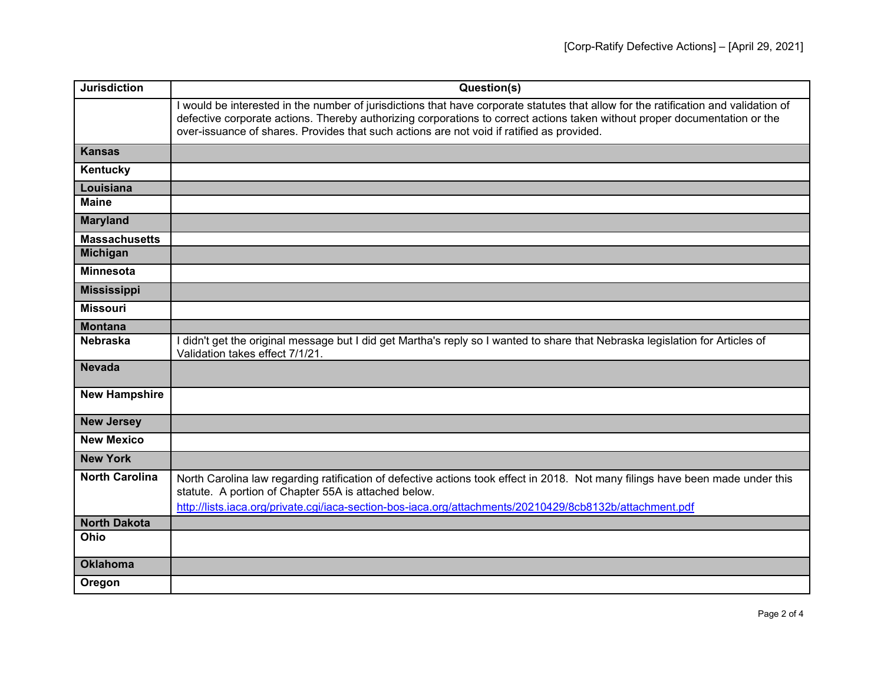| <b>Jurisdiction</b>   | Question(s)                                                                                                                                                                                                                                                                                                                                                    |
|-----------------------|----------------------------------------------------------------------------------------------------------------------------------------------------------------------------------------------------------------------------------------------------------------------------------------------------------------------------------------------------------------|
|                       | I would be interested in the number of jurisdictions that have corporate statutes that allow for the ratification and validation of<br>defective corporate actions. Thereby authorizing corporations to correct actions taken without proper documentation or the<br>over-issuance of shares. Provides that such actions are not void if ratified as provided. |
| <b>Kansas</b>         |                                                                                                                                                                                                                                                                                                                                                                |
| Kentucky              |                                                                                                                                                                                                                                                                                                                                                                |
| Louisiana             |                                                                                                                                                                                                                                                                                                                                                                |
| <b>Maine</b>          |                                                                                                                                                                                                                                                                                                                                                                |
| <b>Maryland</b>       |                                                                                                                                                                                                                                                                                                                                                                |
| <b>Massachusetts</b>  |                                                                                                                                                                                                                                                                                                                                                                |
| <b>Michigan</b>       |                                                                                                                                                                                                                                                                                                                                                                |
| <b>Minnesota</b>      |                                                                                                                                                                                                                                                                                                                                                                |
| <b>Mississippi</b>    |                                                                                                                                                                                                                                                                                                                                                                |
| <b>Missouri</b>       |                                                                                                                                                                                                                                                                                                                                                                |
| <b>Montana</b>        |                                                                                                                                                                                                                                                                                                                                                                |
| <b>Nebraska</b>       | didn't get the original message but I did get Martha's reply so I wanted to share that Nebraska legislation for Articles of<br>Validation takes effect 7/1/21.                                                                                                                                                                                                 |
| <b>Nevada</b>         |                                                                                                                                                                                                                                                                                                                                                                |
| <b>New Hampshire</b>  |                                                                                                                                                                                                                                                                                                                                                                |
| <b>New Jersey</b>     |                                                                                                                                                                                                                                                                                                                                                                |
| <b>New Mexico</b>     |                                                                                                                                                                                                                                                                                                                                                                |
| <b>New York</b>       |                                                                                                                                                                                                                                                                                                                                                                |
| <b>North Carolina</b> | North Carolina law regarding ratification of defective actions took effect in 2018. Not many filings have been made under this<br>statute. A portion of Chapter 55A is attached below.<br>http://lists.iaca.org/private.cgi/iaca-section-bos-iaca.org/attachments/20210429/8cb8132b/attachment.pdf                                                             |
| <b>North Dakota</b>   |                                                                                                                                                                                                                                                                                                                                                                |
| Ohio                  |                                                                                                                                                                                                                                                                                                                                                                |
| <b>Oklahoma</b>       |                                                                                                                                                                                                                                                                                                                                                                |
| Oregon                |                                                                                                                                                                                                                                                                                                                                                                |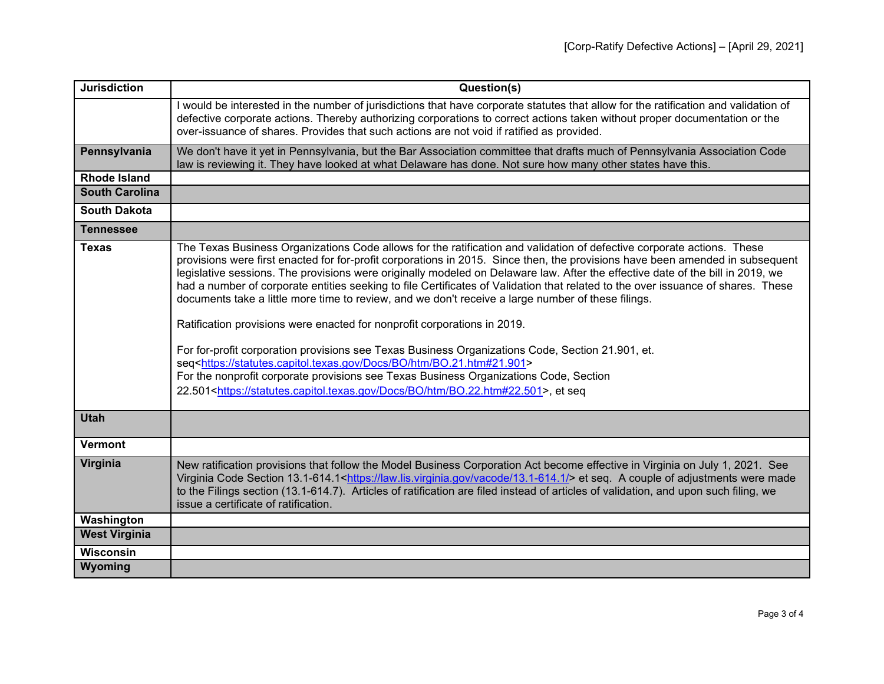| <b>Jurisdiction</b>   | Question(s)                                                                                                                                                                                                                                                                                                                                                                                                                                                                                                                                                                                                                                                                                                                                                                                                                                                                                                                                                                                                                                                                                                              |
|-----------------------|--------------------------------------------------------------------------------------------------------------------------------------------------------------------------------------------------------------------------------------------------------------------------------------------------------------------------------------------------------------------------------------------------------------------------------------------------------------------------------------------------------------------------------------------------------------------------------------------------------------------------------------------------------------------------------------------------------------------------------------------------------------------------------------------------------------------------------------------------------------------------------------------------------------------------------------------------------------------------------------------------------------------------------------------------------------------------------------------------------------------------|
|                       | I would be interested in the number of jurisdictions that have corporate statutes that allow for the ratification and validation of<br>defective corporate actions. Thereby authorizing corporations to correct actions taken without proper documentation or the<br>over-issuance of shares. Provides that such actions are not void if ratified as provided.                                                                                                                                                                                                                                                                                                                                                                                                                                                                                                                                                                                                                                                                                                                                                           |
| Pennsylvania          | We don't have it yet in Pennsylvania, but the Bar Association committee that drafts much of Pennsylvania Association Code<br>law is reviewing it. They have looked at what Delaware has done. Not sure how many other states have this.                                                                                                                                                                                                                                                                                                                                                                                                                                                                                                                                                                                                                                                                                                                                                                                                                                                                                  |
| <b>Rhode Island</b>   |                                                                                                                                                                                                                                                                                                                                                                                                                                                                                                                                                                                                                                                                                                                                                                                                                                                                                                                                                                                                                                                                                                                          |
| <b>South Carolina</b> |                                                                                                                                                                                                                                                                                                                                                                                                                                                                                                                                                                                                                                                                                                                                                                                                                                                                                                                                                                                                                                                                                                                          |
| <b>South Dakota</b>   |                                                                                                                                                                                                                                                                                                                                                                                                                                                                                                                                                                                                                                                                                                                                                                                                                                                                                                                                                                                                                                                                                                                          |
| <b>Tennessee</b>      |                                                                                                                                                                                                                                                                                                                                                                                                                                                                                                                                                                                                                                                                                                                                                                                                                                                                                                                                                                                                                                                                                                                          |
| <b>Texas</b>          | The Texas Business Organizations Code allows for the ratification and validation of defective corporate actions. These<br>provisions were first enacted for for-profit corporations in 2015. Since then, the provisions have been amended in subsequent<br>legislative sessions. The provisions were originally modeled on Delaware law. After the effective date of the bill in 2019, we<br>had a number of corporate entities seeking to file Certificates of Validation that related to the over issuance of shares. These<br>documents take a little more time to review, and we don't receive a large number of these filings.<br>Ratification provisions were enacted for nonprofit corporations in 2019.<br>For for-profit corporation provisions see Texas Business Organizations Code, Section 21.901, et.<br>seq <https: bo="" bo.21.htm#21.901="" docs="" htm="" statutes.capitol.texas.gov=""><br/>For the nonprofit corporate provisions see Texas Business Organizations Code, Section<br/>22.501<https: bo="" bo.22.htm#22.501="" docs="" htm="" statutes.capitol.texas.gov="">, et seq</https:></https:> |
| <b>Utah</b>           |                                                                                                                                                                                                                                                                                                                                                                                                                                                                                                                                                                                                                                                                                                                                                                                                                                                                                                                                                                                                                                                                                                                          |
| <b>Vermont</b>        |                                                                                                                                                                                                                                                                                                                                                                                                                                                                                                                                                                                                                                                                                                                                                                                                                                                                                                                                                                                                                                                                                                                          |
| Virginia              | New ratification provisions that follow the Model Business Corporation Act become effective in Virginia on July 1, 2021. See<br>Virginia Code Section 13.1-614.1 <https: 13.1-614.1="" law.lis.virginia.gov="" vacode=""></https:> et seq. A couple of adjustments were made<br>to the Filings section (13.1-614.7). Articles of ratification are filed instead of articles of validation, and upon such filing, we<br>issue a certificate of ratification.                                                                                                                                                                                                                                                                                                                                                                                                                                                                                                                                                                                                                                                              |
| Washington            |                                                                                                                                                                                                                                                                                                                                                                                                                                                                                                                                                                                                                                                                                                                                                                                                                                                                                                                                                                                                                                                                                                                          |
| <b>West Virginia</b>  |                                                                                                                                                                                                                                                                                                                                                                                                                                                                                                                                                                                                                                                                                                                                                                                                                                                                                                                                                                                                                                                                                                                          |
| <b>Wisconsin</b>      |                                                                                                                                                                                                                                                                                                                                                                                                                                                                                                                                                                                                                                                                                                                                                                                                                                                                                                                                                                                                                                                                                                                          |
| Wyoming               |                                                                                                                                                                                                                                                                                                                                                                                                                                                                                                                                                                                                                                                                                                                                                                                                                                                                                                                                                                                                                                                                                                                          |